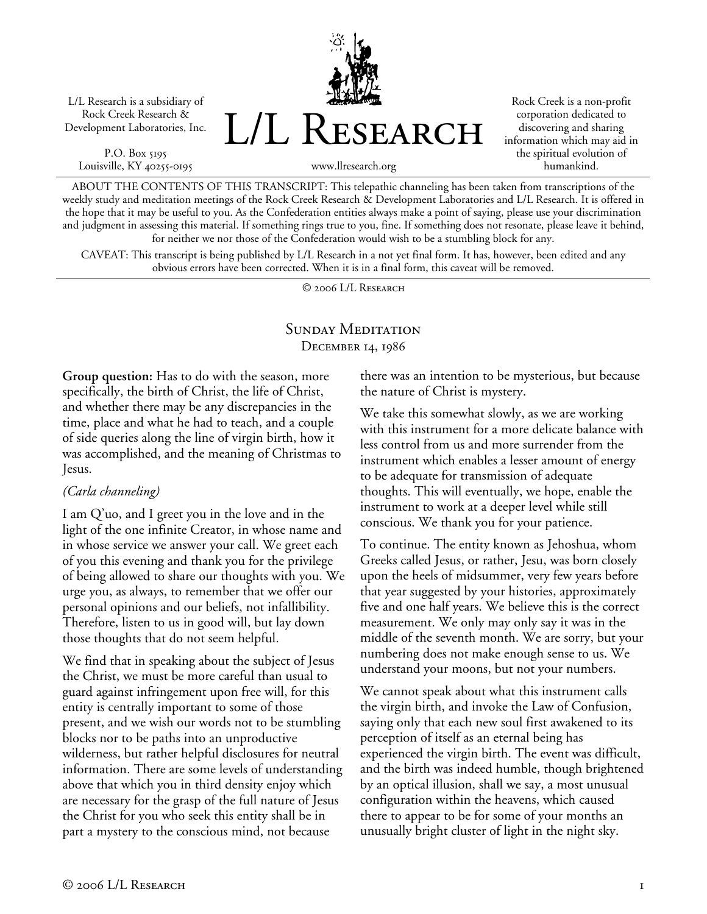L/L Research is a subsidiary of Rock Creek Research & Development Laboratories, Inc.

P.O. Box 5195 Louisville, KY 40255-0195



Rock Creek is a non-profit corporation dedicated to discovering and sharing information which may aid in the spiritual evolution of humankind.

www.llresearch.org

ABOUT THE CONTENTS OF THIS TRANSCRIPT: This telepathic channeling has been taken from transcriptions of the weekly study and meditation meetings of the Rock Creek Research & Development Laboratories and L/L Research. It is offered in the hope that it may be useful to you. As the Confederation entities always make a point of saying, please use your discrimination and judgment in assessing this material. If something rings true to you, fine. If something does not resonate, please leave it behind, for neither we nor those of the Confederation would wish to be a stumbling block for any.

CAVEAT: This transcript is being published by L/L Research in a not yet final form. It has, however, been edited and any obvious errors have been corrected. When it is in a final form, this caveat will be removed.

© 2006 L/L Research

## SUNDAY MEDITATION December 14, 1986

**Group question:** Has to do with the season, more specifically, the birth of Christ, the life of Christ, and whether there may be any discrepancies in the time, place and what he had to teach, and a couple of side queries along the line of virgin birth, how it was accomplished, and the meaning of Christmas to Jesus.

### *(Carla channeling)*

I am Q'uo, and I greet you in the love and in the light of the one infinite Creator, in whose name and in whose service we answer your call. We greet each of you this evening and thank you for the privilege of being allowed to share our thoughts with you. We urge you, as always, to remember that we offer our personal opinions and our beliefs, not infallibility. Therefore, listen to us in good will, but lay down those thoughts that do not seem helpful.

We find that in speaking about the subject of Jesus the Christ, we must be more careful than usual to guard against infringement upon free will, for this entity is centrally important to some of those present, and we wish our words not to be stumbling blocks nor to be paths into an unproductive wilderness, but rather helpful disclosures for neutral information. There are some levels of understanding above that which you in third density enjoy which are necessary for the grasp of the full nature of Jesus the Christ for you who seek this entity shall be in part a mystery to the conscious mind, not because

there was an intention to be mysterious, but because the nature of Christ is mystery.

We take this somewhat slowly, as we are working with this instrument for a more delicate balance with less control from us and more surrender from the instrument which enables a lesser amount of energy to be adequate for transmission of adequate thoughts. This will eventually, we hope, enable the instrument to work at a deeper level while still conscious. We thank you for your patience.

To continue. The entity known as Jehoshua, whom Greeks called Jesus, or rather, Jesu, was born closely upon the heels of midsummer, very few years before that year suggested by your histories, approximately five and one half years. We believe this is the correct measurement. We only may only say it was in the middle of the seventh month. We are sorry, but your numbering does not make enough sense to us. We understand your moons, but not your numbers.

We cannot speak about what this instrument calls the virgin birth, and invoke the Law of Confusion, saying only that each new soul first awakened to its perception of itself as an eternal being has experienced the virgin birth. The event was difficult, and the birth was indeed humble, though brightened by an optical illusion, shall we say, a most unusual configuration within the heavens, which caused there to appear to be for some of your months an unusually bright cluster of light in the night sky.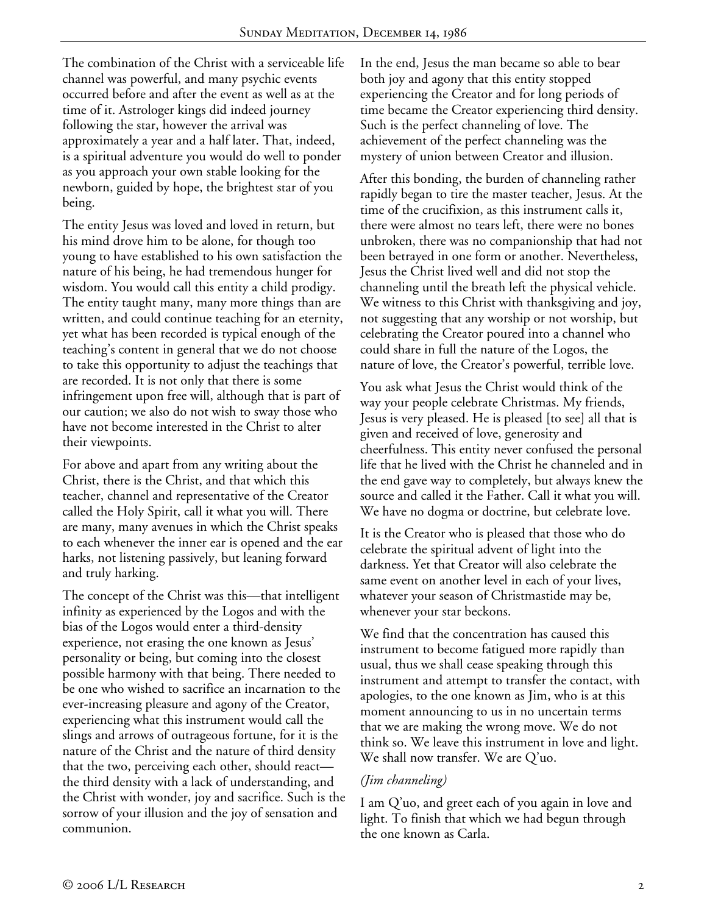The combination of the Christ with a serviceable life channel was powerful, and many psychic events occurred before and after the event as well as at the time of it. Astrologer kings did indeed journey following the star, however the arrival was approximately a year and a half later. That, indeed, is a spiritual adventure you would do well to ponder as you approach your own stable looking for the newborn, guided by hope, the brightest star of you being.

The entity Jesus was loved and loved in return, but his mind drove him to be alone, for though too young to have established to his own satisfaction the nature of his being, he had tremendous hunger for wisdom. You would call this entity a child prodigy. The entity taught many, many more things than are written, and could continue teaching for an eternity, yet what has been recorded is typical enough of the teaching's content in general that we do not choose to take this opportunity to adjust the teachings that are recorded. It is not only that there is some infringement upon free will, although that is part of our caution; we also do not wish to sway those who have not become interested in the Christ to alter their viewpoints.

For above and apart from any writing about the Christ, there is the Christ, and that which this teacher, channel and representative of the Creator called the Holy Spirit, call it what you will. There are many, many avenues in which the Christ speaks to each whenever the inner ear is opened and the ear harks, not listening passively, but leaning forward and truly harking.

The concept of the Christ was this—that intelligent infinity as experienced by the Logos and with the bias of the Logos would enter a third-density experience, not erasing the one known as Jesus' personality or being, but coming into the closest possible harmony with that being. There needed to be one who wished to sacrifice an incarnation to the ever-increasing pleasure and agony of the Creator, experiencing what this instrument would call the slings and arrows of outrageous fortune, for it is the nature of the Christ and the nature of third density that the two, perceiving each other, should react the third density with a lack of understanding, and the Christ with wonder, joy and sacrifice. Such is the sorrow of your illusion and the joy of sensation and communion.

In the end, Jesus the man became so able to bear both joy and agony that this entity stopped experiencing the Creator and for long periods of time became the Creator experiencing third density. Such is the perfect channeling of love. The achievement of the perfect channeling was the mystery of union between Creator and illusion.

After this bonding, the burden of channeling rather rapidly began to tire the master teacher, Jesus. At the time of the crucifixion, as this instrument calls it, there were almost no tears left, there were no bones unbroken, there was no companionship that had not been betrayed in one form or another. Nevertheless, Jesus the Christ lived well and did not stop the channeling until the breath left the physical vehicle. We witness to this Christ with thanksgiving and joy, not suggesting that any worship or not worship, but celebrating the Creator poured into a channel who could share in full the nature of the Logos, the nature of love, the Creator's powerful, terrible love.

You ask what Jesus the Christ would think of the way your people celebrate Christmas. My friends, Jesus is very pleased. He is pleased [to see] all that is given and received of love, generosity and cheerfulness. This entity never confused the personal life that he lived with the Christ he channeled and in the end gave way to completely, but always knew the source and called it the Father. Call it what you will. We have no dogma or doctrine, but celebrate love.

It is the Creator who is pleased that those who do celebrate the spiritual advent of light into the darkness. Yet that Creator will also celebrate the same event on another level in each of your lives, whatever your season of Christmastide may be, whenever your star beckons.

We find that the concentration has caused this instrument to become fatigued more rapidly than usual, thus we shall cease speaking through this instrument and attempt to transfer the contact, with apologies, to the one known as Jim, who is at this moment announcing to us in no uncertain terms that we are making the wrong move. We do not think so. We leave this instrument in love and light. We shall now transfer. We are Q'uo.

### *(Jim channeling)*

I am Q'uo, and greet each of you again in love and light. To finish that which we had begun through the one known as Carla.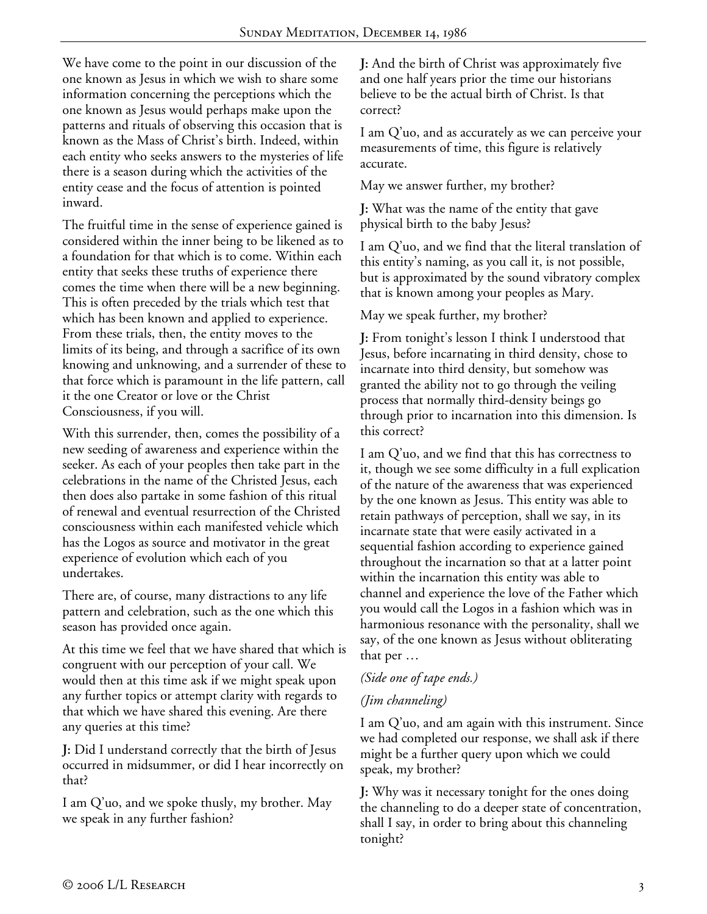We have come to the point in our discussion of the one known as Jesus in which we wish to share some information concerning the perceptions which the one known as Jesus would perhaps make upon the patterns and rituals of observing this occasion that is known as the Mass of Christ's birth. Indeed, within each entity who seeks answers to the mysteries of life there is a season during which the activities of the entity cease and the focus of attention is pointed inward.

The fruitful time in the sense of experience gained is considered within the inner being to be likened as to a foundation for that which is to come. Within each entity that seeks these truths of experience there comes the time when there will be a new beginning. This is often preceded by the trials which test that which has been known and applied to experience. From these trials, then, the entity moves to the limits of its being, and through a sacrifice of its own knowing and unknowing, and a surrender of these to that force which is paramount in the life pattern, call it the one Creator or love or the Christ Consciousness, if you will.

With this surrender, then, comes the possibility of a new seeding of awareness and experience within the seeker. As each of your peoples then take part in the celebrations in the name of the Christed Jesus, each then does also partake in some fashion of this ritual of renewal and eventual resurrection of the Christed consciousness within each manifested vehicle which has the Logos as source and motivator in the great experience of evolution which each of you undertakes.

There are, of course, many distractions to any life pattern and celebration, such as the one which this season has provided once again.

At this time we feel that we have shared that which is congruent with our perception of your call. We would then at this time ask if we might speak upon any further topics or attempt clarity with regards to that which we have shared this evening. Are there any queries at this time?

**J:** Did I understand correctly that the birth of Jesus occurred in midsummer, or did I hear incorrectly on that?

I am Q'uo, and we spoke thusly, my brother. May we speak in any further fashion?

**J:** And the birth of Christ was approximately five and one half years prior the time our historians believe to be the actual birth of Christ. Is that correct?

I am Q'uo, and as accurately as we can perceive your measurements of time, this figure is relatively accurate.

May we answer further, my brother?

**J:** What was the name of the entity that gave physical birth to the baby Jesus?

I am Q'uo, and we find that the literal translation of this entity's naming, as you call it, is not possible, but is approximated by the sound vibratory complex that is known among your peoples as Mary.

May we speak further, my brother?

**J:** From tonight's lesson I think I understood that Jesus, before incarnating in third density, chose to incarnate into third density, but somehow was granted the ability not to go through the veiling process that normally third-density beings go through prior to incarnation into this dimension. Is this correct?

I am Q'uo, and we find that this has correctness to it, though we see some difficulty in a full explication of the nature of the awareness that was experienced by the one known as Jesus. This entity was able to retain pathways of perception, shall we say, in its incarnate state that were easily activated in a sequential fashion according to experience gained throughout the incarnation so that at a latter point within the incarnation this entity was able to channel and experience the love of the Father which you would call the Logos in a fashion which was in harmonious resonance with the personality, shall we say, of the one known as Jesus without obliterating that per …

# *(Side one of tape ends.)*

# *(Jim channeling)*

I am Q'uo, and am again with this instrument. Since we had completed our response, we shall ask if there might be a further query upon which we could speak, my brother?

**J:** Why was it necessary tonight for the ones doing the channeling to do a deeper state of concentration, shall I say, in order to bring about this channeling tonight?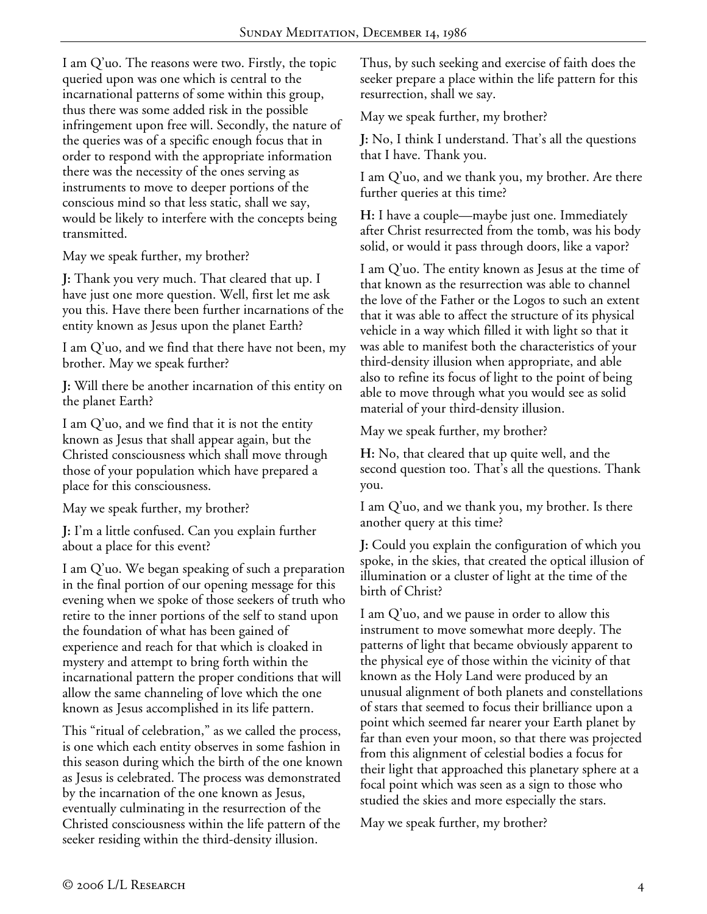I am Q'uo. The reasons were two. Firstly, the topic queried upon was one which is central to the incarnational patterns of some within this group, thus there was some added risk in the possible infringement upon free will. Secondly, the nature of the queries was of a specific enough focus that in order to respond with the appropriate information there was the necessity of the ones serving as instruments to move to deeper portions of the conscious mind so that less static, shall we say, would be likely to interfere with the concepts being transmitted.

May we speak further, my brother?

**J:** Thank you very much. That cleared that up. I have just one more question. Well, first let me ask you this. Have there been further incarnations of the entity known as Jesus upon the planet Earth?

I am Q'uo, and we find that there have not been, my brother. May we speak further?

**J:** Will there be another incarnation of this entity on the planet Earth?

I am Q'uo, and we find that it is not the entity known as Jesus that shall appear again, but the Christed consciousness which shall move through those of your population which have prepared a place for this consciousness.

May we speak further, my brother?

**J:** I'm a little confused. Can you explain further about a place for this event?

I am Q'uo. We began speaking of such a preparation in the final portion of our opening message for this evening when we spoke of those seekers of truth who retire to the inner portions of the self to stand upon the foundation of what has been gained of experience and reach for that which is cloaked in mystery and attempt to bring forth within the incarnational pattern the proper conditions that will allow the same channeling of love which the one known as Jesus accomplished in its life pattern.

This "ritual of celebration," as we called the process, is one which each entity observes in some fashion in this season during which the birth of the one known as Jesus is celebrated. The process was demonstrated by the incarnation of the one known as Jesus, eventually culminating in the resurrection of the Christed consciousness within the life pattern of the seeker residing within the third-density illusion.

Thus, by such seeking and exercise of faith does the seeker prepare a place within the life pattern for this resurrection, shall we say.

May we speak further, my brother?

**J:** No, I think I understand. That's all the questions that I have. Thank you.

I am Q'uo, and we thank you, my brother. Are there further queries at this time?

**H:** I have a couple—maybe just one. Immediately after Christ resurrected from the tomb, was his body solid, or would it pass through doors, like a vapor?

I am Q'uo. The entity known as Jesus at the time of that known as the resurrection was able to channel the love of the Father or the Logos to such an extent that it was able to affect the structure of its physical vehicle in a way which filled it with light so that it was able to manifest both the characteristics of your third-density illusion when appropriate, and able also to refine its focus of light to the point of being able to move through what you would see as solid material of your third-density illusion.

May we speak further, my brother?

**H:** No, that cleared that up quite well, and the second question too. That's all the questions. Thank you.

I am Q'uo, and we thank you, my brother. Is there another query at this time?

**J:** Could you explain the configuration of which you spoke, in the skies, that created the optical illusion of illumination or a cluster of light at the time of the birth of Christ?

I am Q'uo, and we pause in order to allow this instrument to move somewhat more deeply. The patterns of light that became obviously apparent to the physical eye of those within the vicinity of that known as the Holy Land were produced by an unusual alignment of both planets and constellations of stars that seemed to focus their brilliance upon a point which seemed far nearer your Earth planet by far than even your moon, so that there was projected from this alignment of celestial bodies a focus for their light that approached this planetary sphere at a focal point which was seen as a sign to those who studied the skies and more especially the stars.

May we speak further, my brother?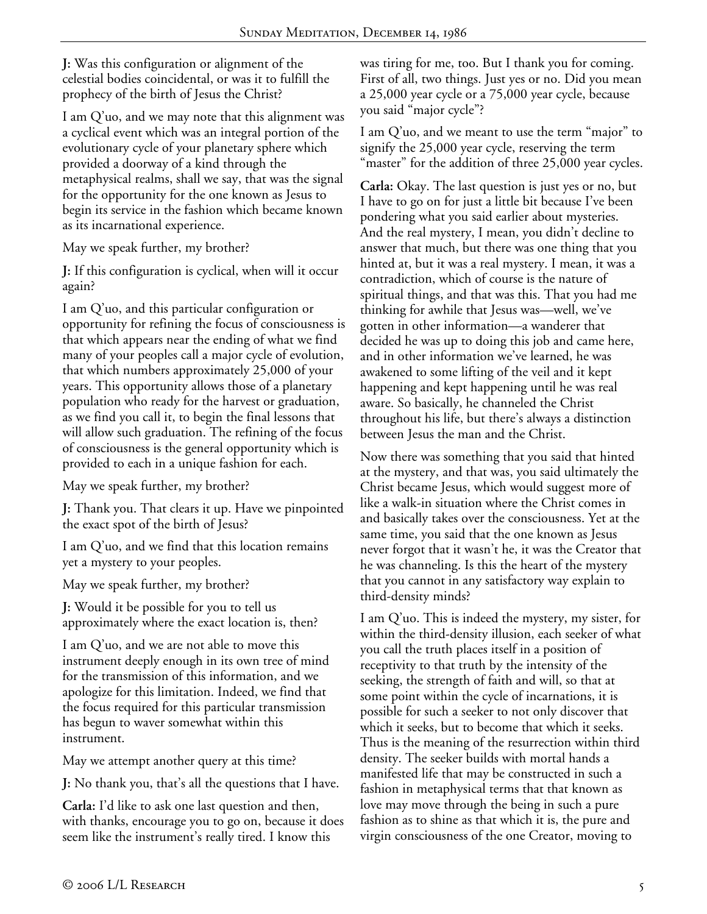**J:** Was this configuration or alignment of the celestial bodies coincidental, or was it to fulfill the prophecy of the birth of Jesus the Christ?

I am Q'uo, and we may note that this alignment was a cyclical event which was an integral portion of the evolutionary cycle of your planetary sphere which provided a doorway of a kind through the metaphysical realms, shall we say, that was the signal for the opportunity for the one known as Jesus to begin its service in the fashion which became known as its incarnational experience.

May we speak further, my brother?

**J:** If this configuration is cyclical, when will it occur again?

I am Q'uo, and this particular configuration or opportunity for refining the focus of consciousness is that which appears near the ending of what we find many of your peoples call a major cycle of evolution, that which numbers approximately 25,000 of your years. This opportunity allows those of a planetary population who ready for the harvest or graduation, as we find you call it, to begin the final lessons that will allow such graduation. The refining of the focus of consciousness is the general opportunity which is provided to each in a unique fashion for each.

May we speak further, my brother?

**J:** Thank you. That clears it up. Have we pinpointed the exact spot of the birth of Jesus?

I am Q'uo, and we find that this location remains yet a mystery to your peoples.

May we speak further, my brother?

**J:** Would it be possible for you to tell us approximately where the exact location is, then?

I am Q'uo, and we are not able to move this instrument deeply enough in its own tree of mind for the transmission of this information, and we apologize for this limitation. Indeed, we find that the focus required for this particular transmission has begun to waver somewhat within this instrument.

May we attempt another query at this time?

**J:** No thank you, that's all the questions that I have.

**Carla:** I'd like to ask one last question and then, with thanks, encourage you to go on, because it does seem like the instrument's really tired. I know this

was tiring for me, too. But I thank you for coming. First of all, two things. Just yes or no. Did you mean a 25,000 year cycle or a 75,000 year cycle, because you said "major cycle"?

I am Q'uo, and we meant to use the term "major" to signify the 25,000 year cycle, reserving the term "master" for the addition of three 25,000 year cycles.

**Carla:** Okay. The last question is just yes or no, but I have to go on for just a little bit because I've been pondering what you said earlier about mysteries. And the real mystery, I mean, you didn't decline to answer that much, but there was one thing that you hinted at, but it was a real mystery. I mean, it was a contradiction, which of course is the nature of spiritual things, and that was this. That you had me thinking for awhile that Jesus was—well, we've gotten in other information—a wanderer that decided he was up to doing this job and came here, and in other information we've learned, he was awakened to some lifting of the veil and it kept happening and kept happening until he was real aware. So basically, he channeled the Christ throughout his life, but there's always a distinction between Jesus the man and the Christ.

Now there was something that you said that hinted at the mystery, and that was, you said ultimately the Christ became Jesus, which would suggest more of like a walk-in situation where the Christ comes in and basically takes over the consciousness. Yet at the same time, you said that the one known as Jesus never forgot that it wasn't he, it was the Creator that he was channeling. Is this the heart of the mystery that you cannot in any satisfactory way explain to third-density minds?

I am Q'uo. This is indeed the mystery, my sister, for within the third-density illusion, each seeker of what you call the truth places itself in a position of receptivity to that truth by the intensity of the seeking, the strength of faith and will, so that at some point within the cycle of incarnations, it is possible for such a seeker to not only discover that which it seeks, but to become that which it seeks. Thus is the meaning of the resurrection within third density. The seeker builds with mortal hands a manifested life that may be constructed in such a fashion in metaphysical terms that that known as love may move through the being in such a pure fashion as to shine as that which it is, the pure and virgin consciousness of the one Creator, moving to